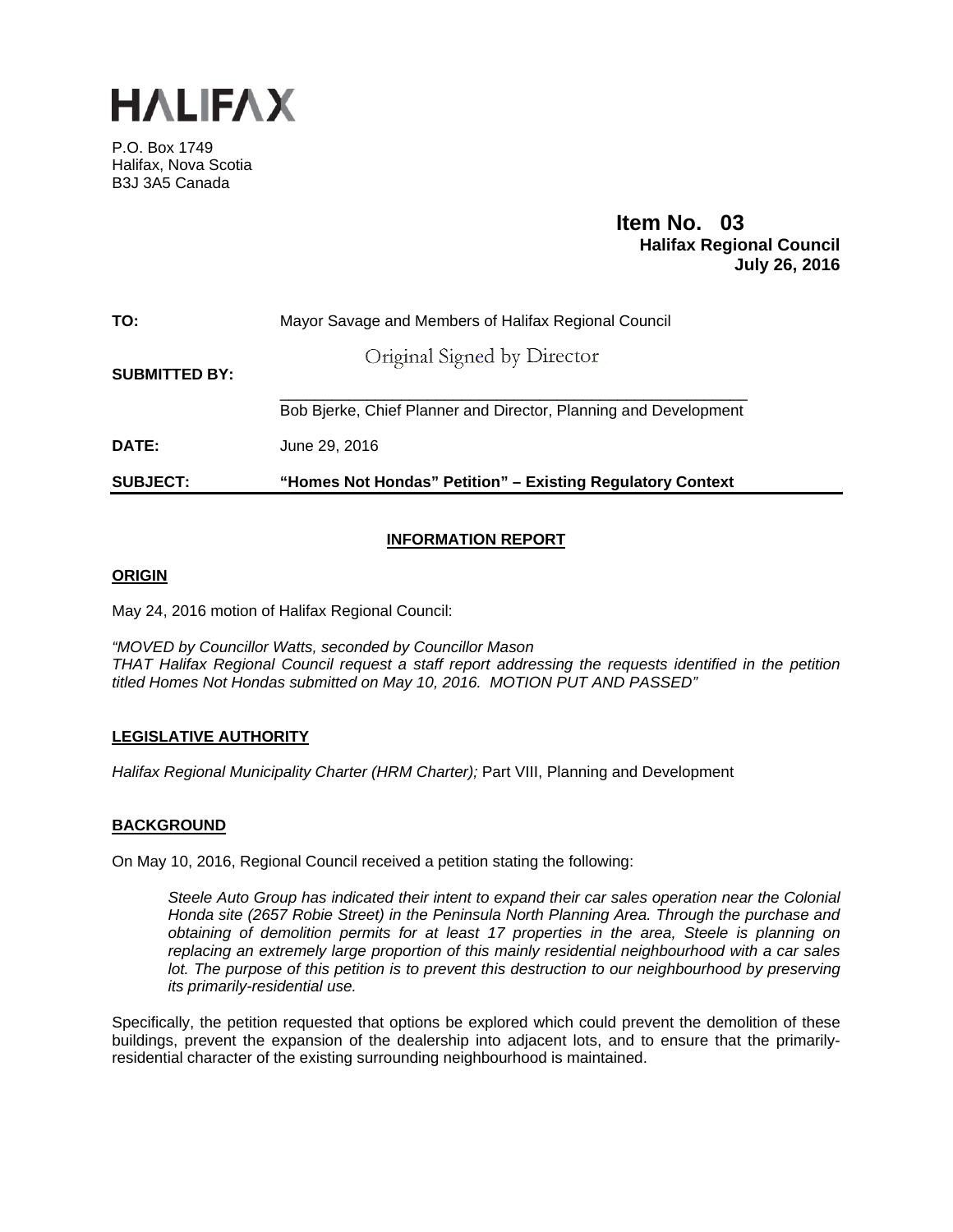

P.O. Box 1749 Halifax, Nova Scotia B3J 3A5 Canada

# **Item No. 03**<br>**Halifax Regional Council July 26, 2016**

| <b>SUBJECT:</b>      | "Homes Not Hondas" Petition" - Existing Regulatory Context       |
|----------------------|------------------------------------------------------------------|
| DATE:                | June 29, 2016                                                    |
|                      | Bob Bjerke, Chief Planner and Director, Planning and Development |
| <b>SUBMITTED BY:</b> | Original Signed by Director                                      |
| TO:                  | Mayor Savage and Members of Halifax Regional Council             |

## **INFORMATION REPORT**

### **ORIGIN**

May 24, 2016 motion of Halifax Regional Council:

*"MOVED by Councillor Watts, seconded by Councillor Mason THAT Halifax Regional Council request a staff report addressing the requests identified in the petition titled Homes Not Hondas submitted on May 10, 2016. MOTION PUT AND PASSED"* 

## **LEGISLATIVE AUTHORITY**

*Halifax Regional Municipality Charter (HRM Charter);* Part VIII, Planning and Development

## **BACKGROUND**

On May 10, 2016, Regional Council received a petition stating the following:

*Steele Auto Group has indicated their intent to expand their car sales operation near the Colonial Honda site (2657 Robie Street) in the Peninsula North Planning Area. Through the purchase and obtaining of demolition permits for at least 17 properties in the area, Steele is planning on replacing an extremely large proportion of this mainly residential neighbourhood with a car sales lot. The purpose of this petition is to prevent this destruction to our neighbourhood by preserving its primarily-residential use.*

Specifically, the petition requested that options be explored which could prevent the demolition of these buildings, prevent the expansion of the dealership into adjacent lots, and to ensure that the primarilyresidential character of the existing surrounding neighbourhood is maintained.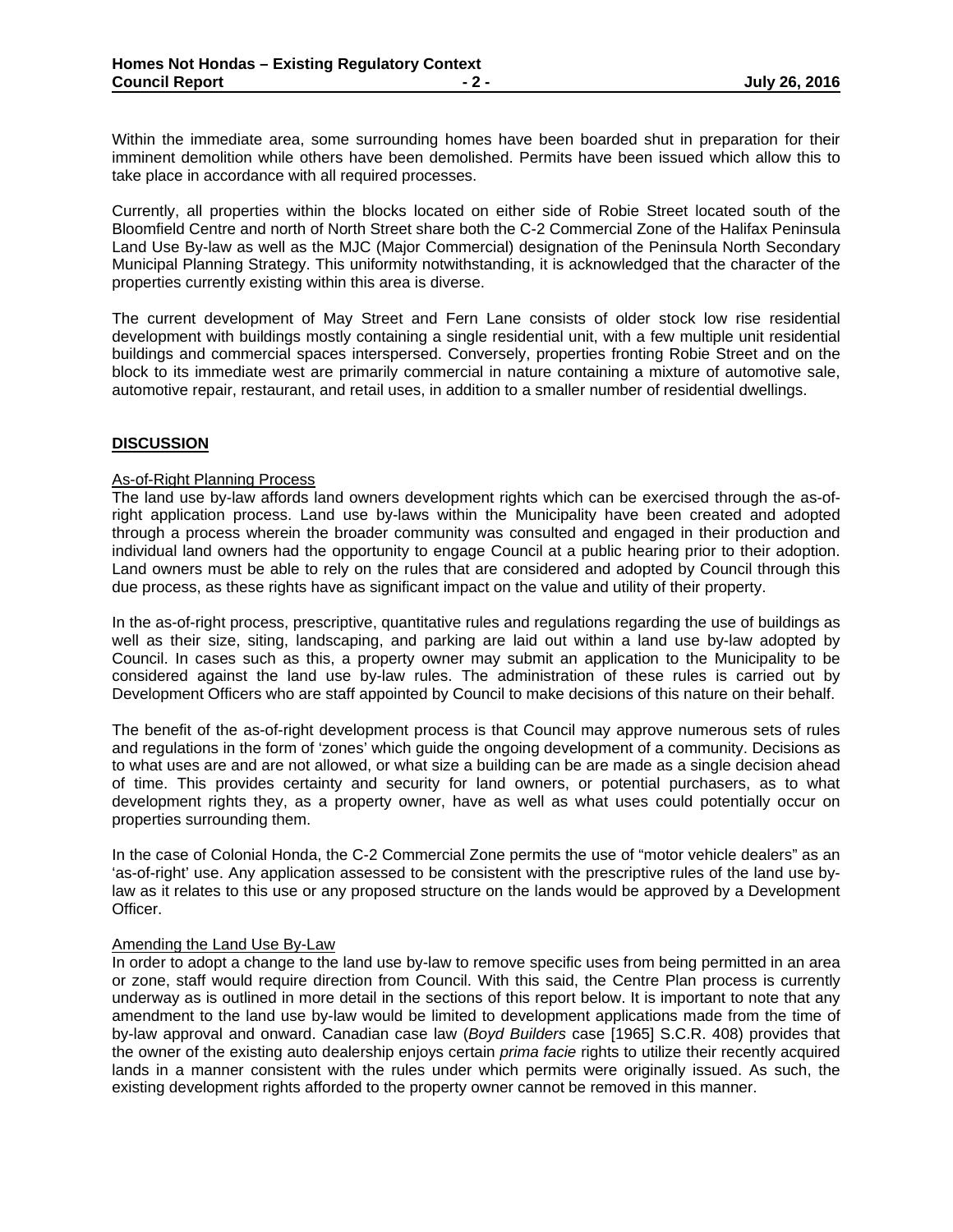Within the immediate area, some surrounding homes have been boarded shut in preparation for their imminent demolition while others have been demolished. Permits have been issued which allow this to take place in accordance with all required processes.

Currently, all properties within the blocks located on either side of Robie Street located south of the Bloomfield Centre and north of North Street share both the C-2 Commercial Zone of the Halifax Peninsula Land Use By-law as well as the MJC (Major Commercial) designation of the Peninsula North Secondary Municipal Planning Strategy. This uniformity notwithstanding, it is acknowledged that the character of the properties currently existing within this area is diverse.

The current development of May Street and Fern Lane consists of older stock low rise residential development with buildings mostly containing a single residential unit, with a few multiple unit residential buildings and commercial spaces interspersed. Conversely, properties fronting Robie Street and on the block to its immediate west are primarily commercial in nature containing a mixture of automotive sale, automotive repair, restaurant, and retail uses, in addition to a smaller number of residential dwellings.

#### **DISCUSSION**

#### As-of-Right Planning Process

The land use by-law affords land owners development rights which can be exercised through the as-ofright application process. Land use by-laws within the Municipality have been created and adopted through a process wherein the broader community was consulted and engaged in their production and individual land owners had the opportunity to engage Council at a public hearing prior to their adoption. Land owners must be able to rely on the rules that are considered and adopted by Council through this due process, as these rights have as significant impact on the value and utility of their property.

In the as-of-right process, prescriptive, quantitative rules and regulations regarding the use of buildings as well as their size, siting, landscaping, and parking are laid out within a land use by-law adopted by Council. In cases such as this, a property owner may submit an application to the Municipality to be considered against the land use by-law rules. The administration of these rules is carried out by Development Officers who are staff appointed by Council to make decisions of this nature on their behalf.

The benefit of the as-of-right development process is that Council may approve numerous sets of rules and regulations in the form of 'zones' which guide the ongoing development of a community. Decisions as to what uses are and are not allowed, or what size a building can be are made as a single decision ahead of time. This provides certainty and security for land owners, or potential purchasers, as to what development rights they, as a property owner, have as well as what uses could potentially occur on properties surrounding them.

In the case of Colonial Honda, the C-2 Commercial Zone permits the use of "motor vehicle dealers" as an 'as-of-right' use. Any application assessed to be consistent with the prescriptive rules of the land use bylaw as it relates to this use or any proposed structure on the lands would be approved by a Development Officer.

#### Amending the Land Use By-Law

In order to adopt a change to the land use by-law to remove specific uses from being permitted in an area or zone, staff would require direction from Council. With this said, the Centre Plan process is currently underway as is outlined in more detail in the sections of this report below. It is important to note that any amendment to the land use by-law would be limited to development applications made from the time of by-law approval and onward. Canadian case law (*Boyd Builders* case [1965] S.C.R. 408) provides that the owner of the existing auto dealership enjoys certain *prima facie* rights to utilize their recently acquired lands in a manner consistent with the rules under which permits were originally issued. As such, the existing development rights afforded to the property owner cannot be removed in this manner.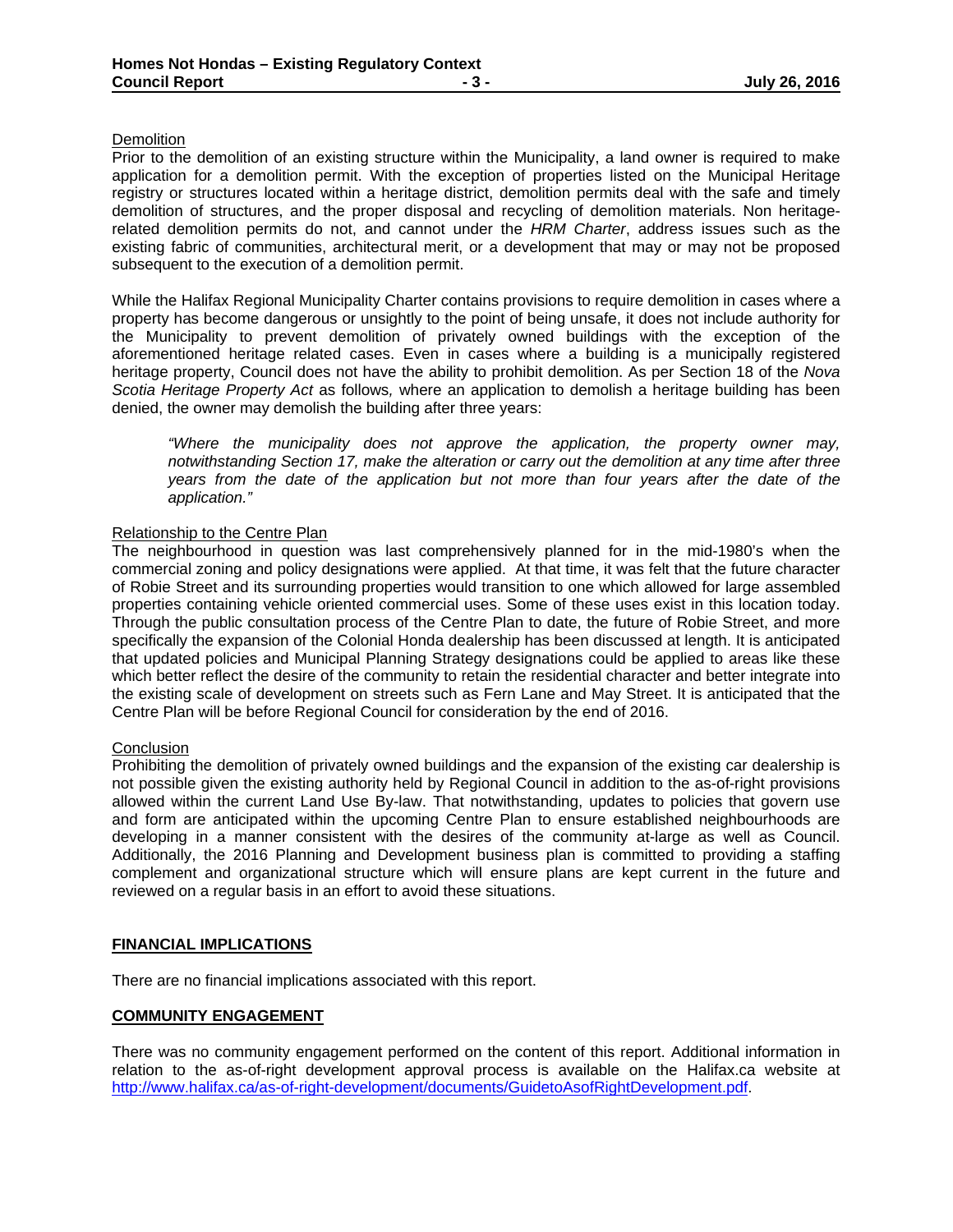#### **Demolition**

Prior to the demolition of an existing structure within the Municipality, a land owner is required to make application for a demolition permit. With the exception of properties listed on the Municipal Heritage registry or structures located within a heritage district, demolition permits deal with the safe and timely demolition of structures, and the proper disposal and recycling of demolition materials. Non heritagerelated demolition permits do not, and cannot under the *HRM Charter*, address issues such as the existing fabric of communities, architectural merit, or a development that may or may not be proposed subsequent to the execution of a demolition permit.

While the Halifax Regional Municipality Charter contains provisions to require demolition in cases where a property has become dangerous or unsightly to the point of being unsafe, it does not include authority for the Municipality to prevent demolition of privately owned buildings with the exception of the aforementioned heritage related cases. Even in cases where a building is a municipally registered heritage property, Council does not have the ability to prohibit demolition. As per Section 18 of the *Nova Scotia Heritage Property Act* as follows*,* where an application to demolish a heritage building has been denied, the owner may demolish the building after three years:

*"Where the municipality does not approve the application, the property owner may, notwithstanding Section 17, make the alteration or carry out the demolition at any time after three years from the date of the application but not more than four years after the date of the application."* 

### Relationship to the Centre Plan

The neighbourhood in question was last comprehensively planned for in the mid-1980's when the commercial zoning and policy designations were applied. At that time, it was felt that the future character of Robie Street and its surrounding properties would transition to one which allowed for large assembled properties containing vehicle oriented commercial uses. Some of these uses exist in this location today. Through the public consultation process of the Centre Plan to date, the future of Robie Street, and more specifically the expansion of the Colonial Honda dealership has been discussed at length. It is anticipated that updated policies and Municipal Planning Strategy designations could be applied to areas like these which better reflect the desire of the community to retain the residential character and better integrate into the existing scale of development on streets such as Fern Lane and May Street. It is anticipated that the Centre Plan will be before Regional Council for consideration by the end of 2016.

#### **Conclusion**

Prohibiting the demolition of privately owned buildings and the expansion of the existing car dealership is not possible given the existing authority held by Regional Council in addition to the as-of-right provisions allowed within the current Land Use By-law. That notwithstanding, updates to policies that govern use and form are anticipated within the upcoming Centre Plan to ensure established neighbourhoods are developing in a manner consistent with the desires of the community at-large as well as Council. Additionally, the 2016 Planning and Development business plan is committed to providing a staffing complement and organizational structure which will ensure plans are kept current in the future and reviewed on a regular basis in an effort to avoid these situations.

#### **FINANCIAL IMPLICATIONS**

There are no financial implications associated with this report.

#### **COMMUNITY ENGAGEMENT**

There was no community engagement performed on the content of this report. Additional information in relation to the as-of-right development approval process is available on the Halifax.ca website at http://www.halifax.ca/as-of-right-development/documents/GuidetoAsofRightDevelopment.pdf.